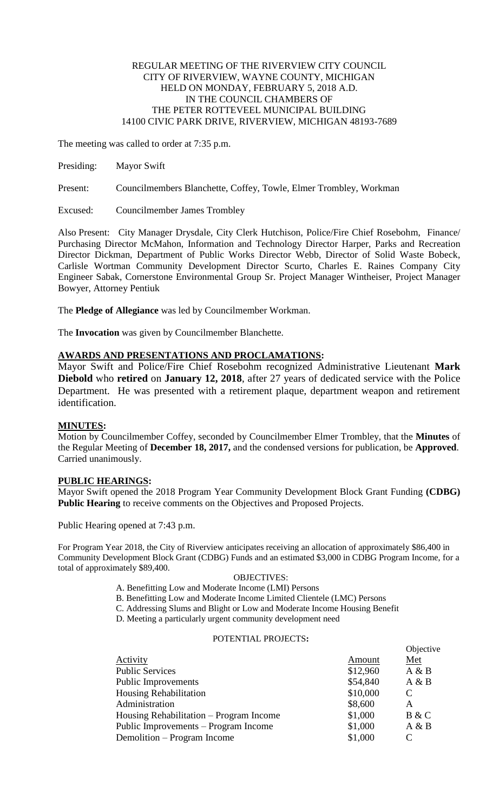## REGULAR MEETING OF THE RIVERVIEW CITY COUNCIL CITY OF RIVERVIEW, WAYNE COUNTY, MICHIGAN HELD ON MONDAY, FEBRUARY 5, 2018 A.D. IN THE COUNCIL CHAMBERS OF THE PETER ROTTEVEEL MUNICIPAL BUILDING 14100 CIVIC PARK DRIVE, RIVERVIEW, MICHIGAN 48193-7689

The meeting was called to order at 7:35 p.m.

Presiding: Mayor Swift

Present: Councilmembers Blanchette, Coffey, Towle, Elmer Trombley, Workman

Excused: Councilmember James Trombley

Also Present: City Manager Drysdale, City Clerk Hutchison, Police/Fire Chief Rosebohm, Finance/ Purchasing Director McMahon, Information and Technology Director Harper, Parks and Recreation Director Dickman, Department of Public Works Director Webb, Director of Solid Waste Bobeck, Carlisle Wortman Community Development Director Scurto, Charles E. Raines Company City Engineer Sabak, Cornerstone Environmental Group Sr. Project Manager Wintheiser, Project Manager Bowyer, Attorney Pentiuk

The **Pledge of Allegiance** was led by Councilmember Workman.

The **Invocation** was given by Councilmember Blanchette.

# **AWARDS AND PRESENTATIONS AND PROCLAMATIONS:**

Mayor Swift and Police/Fire Chief Rosebohm recognized Administrative Lieutenant **Mark Diebold** who **retired** on **January 12, 2018**, after 27 years of dedicated service with the Police Department. He was presented with a retirement plaque, department weapon and retirement identification.

# **MINUTES:**

Motion by Councilmember Coffey, seconded by Councilmember Elmer Trombley, that the **Minutes** of the Regular Meeting of **December 18, 2017,** and the condensed versions for publication, be **Approved**. Carried unanimously.

# **PUBLIC HEARINGS:**

Mayor Swift opened the 2018 Program Year Community Development Block Grant Funding **(CDBG) Public Hearing** to receive comments on the Objectives and Proposed Projects.

Public Hearing opened at 7:43 p.m.

For Program Year 2018, the City of Riverview anticipates receiving an allocation of approximately \$86,400 in Community Development Block Grant (CDBG) Funds and an estimated \$3,000 in CDBG Program Income, for a total of approximately \$89,400.

### OBJECTIVES:

- A. Benefitting Low and Moderate Income (LMI) Persons
- B. Benefitting Low and Moderate Income Limited Clientele (LMC) Persons
- C. Addressing Slums and Blight or Low and Moderate Income Housing Benefit
- D. Meeting a particularly urgent community development need

## POTENTIAL PROJECTS**:**

|                                         |          | Objective |
|-----------------------------------------|----------|-----------|
| Activity                                | Amount   | $Met$     |
| <b>Public Services</b>                  | \$12,960 | A & B     |
| <b>Public Improvements</b>              | \$54,840 | A & B     |
| <b>Housing Rehabilitation</b>           | \$10,000 | C         |
| Administration                          | \$8,600  | A         |
| Housing Rehabilitation – Program Income | \$1,000  | B & C     |
| Public Improvements – Program Income    | \$1,000  | A & B     |
| Demolition – Program Income             | \$1,000  | C         |
|                                         |          |           |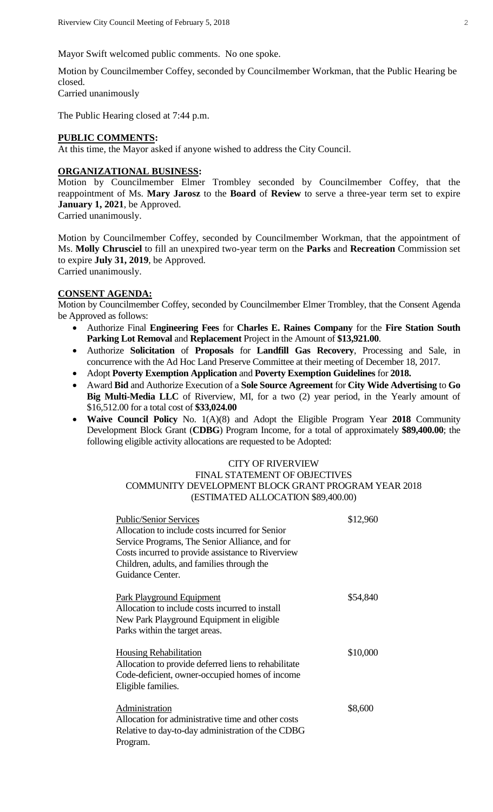Mayor Swift welcomed public comments. No one spoke.

Motion by Councilmember Coffey, seconded by Councilmember Workman, that the Public Hearing be closed. Carried unanimously

The Public Hearing closed at 7:44 p.m.

### **PUBLIC COMMENTS:**

At this time, the Mayor asked if anyone wished to address the City Council.

## **ORGANIZATIONAL BUSINESS:**

Motion by Councilmember Elmer Trombley seconded by Councilmember Coffey, that the reappointment of Ms. **Mary Jarosz** to the **Board** of **Review** to serve a three-year term set to expire **January 1, 2021**, be Approved.

Carried unanimously.

Motion by Councilmember Coffey, seconded by Councilmember Workman, that the appointment of Ms. **Molly Chrusciel** to fill an unexpired two-year term on the **Parks** and **Recreation** Commission set to expire **July 31, 2019**, be Approved. Carried unanimously.

## **CONSENT AGENDA:**

Motion by Councilmember Coffey, seconded by Councilmember Elmer Trombley, that the Consent Agenda be Approved as follows:

- Authorize Final **Engineering Fees** for **Charles E. Raines Company** for the **Fire Station South Parking Lot Removal** and **Replacement** Project in the Amount of **\$13,921.00**.
- Authorize **Solicitation** of **Proposals** for **Landfill Gas Recovery**, Processing and Sale, in concurrence with the Ad Hoc Land Preserve Committee at their meeting of December 18, 2017.
- Adopt **Poverty Exemption Application** and **Poverty Exemption Guidelines** for **2018.**
- Award **Bid** and Authorize Execution of a **Sole Source Agreement** for **City Wide Advertising** to **Go Big Multi-Media LLC** of Riverview, MI, for a two (2) year period, in the Yearly amount of \$16,512.00 for a total cost of **\$33,024.00**
- **Waive Council Policy** No. 1(A)(8) and Adopt the Eligible Program Year **2018** Community Development Block Grant (**CDBG**) Program Income, for a total of approximately **\$89,400.00**; the following eligible activity allocations are requested to be Adopted:

# CITY OF RIVERVIEW FINAL STATEMENT OF OBJECTIVES COMMUNITY DEVELOPMENT BLOCK GRANT PROGRAM YEAR 2018 (ESTIMATED ALLOCATION \$89,400.00)

| <b>Public/Senior Services</b><br>Allocation to include costs incurred for Senior<br>Service Programs, The Senior Alliance, and for<br>Costs incurred to provide assistance to Riverview<br>Children, adults, and families through the<br>Guidance Center. | \$12,960 |
|-----------------------------------------------------------------------------------------------------------------------------------------------------------------------------------------------------------------------------------------------------------|----------|
| Park Playground Equipment<br>Allocation to include costs incurred to install<br>New Park Playground Equipment in eligible<br>Parks within the target areas.                                                                                               | \$54,840 |
| <b>Housing Rehabilitation</b><br>Allocation to provide deferred liens to rehabilitate<br>Code-deficient, owner-occupied homes of income<br>Eligible families.                                                                                             | \$10,000 |
| Administration<br>Allocation for administrative time and other costs<br>Relative to day-to-day administration of the CDBG<br>Program.                                                                                                                     | \$8,600  |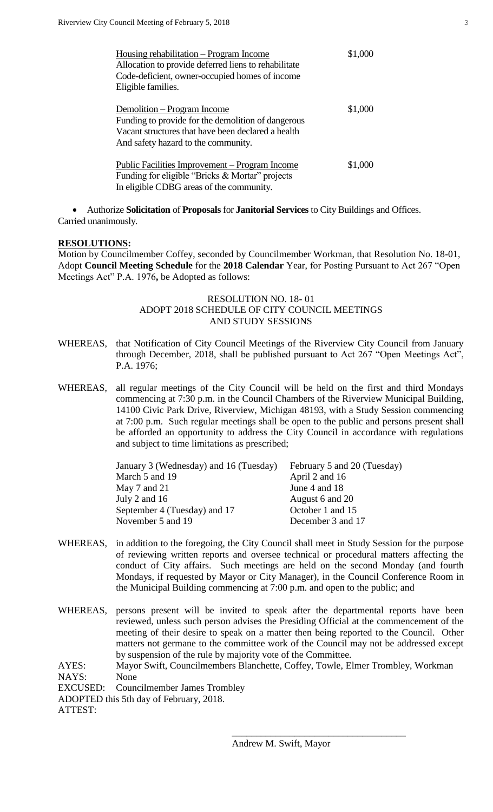| Housing rehabilitation - Program Income              | \$1,000 |
|------------------------------------------------------|---------|
| Allocation to provide deferred liens to rehabilitate |         |
| Code-deficient, owner-occupied homes of income       |         |
| Eligible families.                                   |         |
|                                                      |         |
| Demolition – Program Income                          | \$1,000 |
| Funding to provide for the demolition of dangerous   |         |
| Vacant structures that have been declared a health   |         |
| And safety hazard to the community.                  |         |
|                                                      |         |
| Public Facilities Improvement – Program Income       | \$1,000 |
| Funding for eligible "Bricks & Mortar" projects      |         |
| In eligible CDBG areas of the community.             |         |

 Authorize **Solicitation** of **Proposals** for **Janitorial Services** to City Buildings and Offices. Carried unanimously.

#### **RESOLUTIONS:**

Motion by Councilmember Coffey, seconded by Councilmember Workman, that Resolution No. 18-01, Adopt **Council Meeting Schedule** for the **2018 Calendar** Year, for Posting Pursuant to Act 267 "Open Meetings Act" P.A. 1976**,** be Adopted as follows:

## RESOLUTION NO. 18- 01 ADOPT 2018 SCHEDULE OF CITY COUNCIL MEETINGS AND STUDY SESSIONS

- WHEREAS, that Notification of City Council Meetings of the Riverview City Council from January through December, 2018, shall be published pursuant to Act 267 "Open Meetings Act", P.A. 1976;
- WHEREAS, all regular meetings of the City Council will be held on the first and third Mondays commencing at 7:30 p.m. in the Council Chambers of the Riverview Municipal Building, 14100 Civic Park Drive, Riverview, Michigan 48193, with a Study Session commencing at 7:00 p.m. Such regular meetings shall be open to the public and persons present shall be afforded an opportunity to address the City Council in accordance with regulations and subject to time limitations as prescribed;

| January 3 (Wednesday) and 16 (Tuesday) | February 5 and 20 (Tuesday) |
|----------------------------------------|-----------------------------|
| March 5 and 19                         | April 2 and 16              |
| May $7$ and $21$                       | June 4 and 18               |
| July 2 and 16                          | August 6 and 20             |
| September 4 (Tuesday) and 17           | October 1 and 15            |
| November 5 and 19                      | December 3 and 17           |
|                                        |                             |

- WHEREAS, in addition to the foregoing, the City Council shall meet in Study Session for the purpose of reviewing written reports and oversee technical or procedural matters affecting the conduct of City affairs. Such meetings are held on the second Monday (and fourth Mondays, if requested by Mayor or City Manager), in the Council Conference Room in the Municipal Building commencing at 7:00 p.m. and open to the public; and
- WHEREAS, persons present will be invited to speak after the departmental reports have been reviewed, unless such person advises the Presiding Official at the commencement of the meeting of their desire to speak on a matter then being reported to the Council. Other matters not germane to the committee work of the Council may not be addressed except by suspension of the rule by majority vote of the Committee.

AYES: Mayor Swift, Councilmembers Blanchette, Coffey, Towle, Elmer Trombley, Workman NAYS: None

EXCUSED: Councilmember James Trombley

ADOPTED this 5th day of February, 2018.

ATTEST:

\_\_\_\_\_\_\_\_\_\_\_\_\_\_\_\_\_\_\_\_\_\_\_\_\_\_\_\_\_\_\_\_\_\_\_\_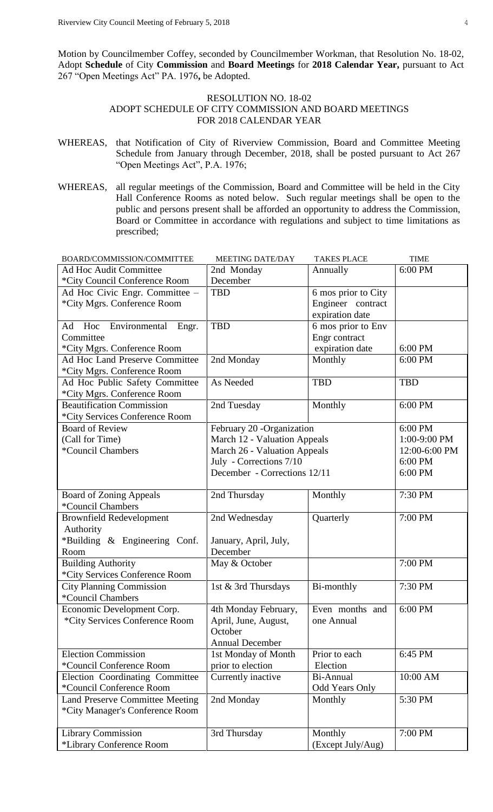Motion by Councilmember Coffey, seconded by Councilmember Workman, that Resolution No. 18-02, Adopt **Schedule** of City **Commission** and **Board Meetings** for **2018 Calendar Year,** pursuant to Act 267 "Open Meetings Act" PA. 1976**,** be Adopted.

# RESOLUTION NO. 18-02 ADOPT SCHEDULE OF CITY COMMISSION AND BOARD MEETINGS FOR 2018 CALENDAR YEAR

- WHEREAS, that Notification of City of Riverview Commission, Board and Committee Meeting Schedule from January through December, 2018, shall be posted pursuant to Act 267 "Open Meetings Act", P.A. 1976;
- WHEREAS, all regular meetings of the Commission, Board and Committee will be held in the City Hall Conference Rooms as noted below. Such regular meetings shall be open to the public and persons present shall be afforded an opportunity to address the Commission, Board or Committee in accordance with regulations and subject to time limitations as prescribed;

| BOARD/COMMISSION/COMMITTEE             | <b>MEETING DATE/DAY</b>      | <b>TAKES PLACE</b>    | <b>TIME</b>   |
|----------------------------------------|------------------------------|-----------------------|---------------|
| <b>Ad Hoc Audit Committee</b>          | 2nd Monday                   | Annually              | 6:00 PM       |
| *City Council Conference Room          | December                     |                       |               |
| Ad Hoc Civic Engr. Committee -         | <b>TBD</b>                   | 6 mos prior to City   |               |
| *City Mgrs. Conference Room            |                              | Engineer contract     |               |
|                                        |                              | expiration date       |               |
| Hoc<br>Environmental Engr.<br>Ad       | <b>TBD</b>                   | 6 mos prior to Env    |               |
| Committee                              |                              | Engr contract         |               |
| *City Mgrs. Conference Room            |                              | expiration date       | 6:00 PM       |
| Ad Hoc Land Preserve Committee         | 2nd Monday                   | Monthly               | 6:00 PM       |
| *City Mgrs. Conference Room            |                              |                       |               |
| Ad Hoc Public Safety Committee         | As Needed                    | <b>TBD</b>            | <b>TBD</b>    |
| *City Mgrs. Conference Room            |                              |                       |               |
| <b>Beautification Commission</b>       | 2nd Tuesday                  | Monthly               | 6:00 PM       |
| *City Services Conference Room         |                              |                       |               |
| <b>Board of Review</b>                 | February 20 -Organization    |                       | 6:00 PM       |
| (Call for Time)                        | March 12 - Valuation Appeals |                       | 1:00-9:00 PM  |
| <i>*</i> Council Chambers              | March 26 - Valuation Appeals |                       | 12:00-6:00 PM |
|                                        | July - Corrections 7/10      |                       | 6:00 PM       |
|                                        | December - Corrections 12/11 |                       | 6:00 PM       |
|                                        |                              |                       |               |
| <b>Board of Zoning Appeals</b>         | 2nd Thursday                 | Monthly               | 7:30 PM       |
| *Council Chambers                      |                              |                       |               |
| <b>Brownfield Redevelopment</b>        | 2nd Wednesday                | Quarterly             | 7:00 PM       |
| Authority                              |                              |                       |               |
| *Building & Engineering Conf.          | January, April, July,        |                       |               |
| Room                                   | December                     |                       |               |
| <b>Building Authority</b>              | May & October                |                       | 7:00 PM       |
| *City Services Conference Room         |                              |                       |               |
| <b>City Planning Commission</b>        | 1st & 3rd Thursdays          | Bi-monthly            | 7:30 PM       |
| *Council Chambers                      |                              |                       |               |
| Economic Development Corp.             | 4th Monday February,         | Even months and       | 6:00 PM       |
| *City Services Conference Room         | April, June, August,         | one Annual            |               |
|                                        | October                      |                       |               |
|                                        | <b>Annual December</b>       |                       |               |
| <b>Election Commission</b>             | 1st Monday of Month          | Prior to each         | 6:45 PM       |
| *Council Conference Room               | prior to election            | Election              |               |
| Election Coordinating Committee        | Currently inactive           | Bi-Annual             | 10:00 AM      |
| *Council Conference Room               |                              | <b>Odd Years Only</b> |               |
| <b>Land Preserve Committee Meeting</b> | 2nd Monday                   | Monthly               | 5:30 PM       |
| *City Manager's Conference Room        |                              |                       |               |
|                                        |                              |                       |               |
| <b>Library Commission</b>              | 3rd Thursday                 | Monthly               | 7:00 PM       |
| *Library Conference Room               |                              | (Except July/Aug)     |               |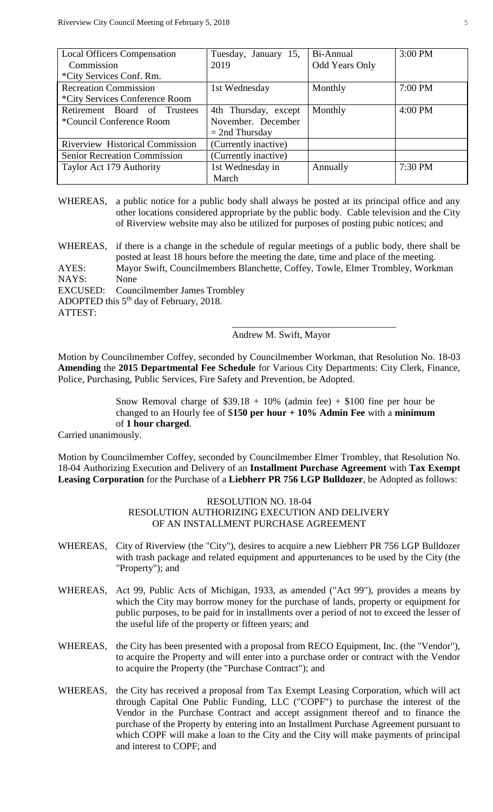| <b>Local Officers Compensation</b>     | Tuesday, January 15, | Bi-Annual             | 3:00 PM |
|----------------------------------------|----------------------|-----------------------|---------|
| Commission                             | 2019                 | <b>Odd Years Only</b> |         |
| *City Services Conf. Rm.               |                      |                       |         |
| <b>Recreation Commission</b>           | 1st Wednesday        | Monthly               | 7:00 PM |
| *City Services Conference Room         |                      |                       |         |
| Retirement Board of Trustees           | 4th Thursday, except | Monthly               | 4:00 PM |
| *Council Conference Room               | November. December   |                       |         |
|                                        | $=$ 2nd Thursday     |                       |         |
| <b>Riverview Historical Commission</b> | (Currently inactive) |                       |         |
| <b>Senior Recreation Commission</b>    | (Currently inactive) |                       |         |
| Taylor Act 179 Authority               | 1st Wednesday in     | Annually              | 7:30 PM |
|                                        | March                |                       |         |

WHEREAS, a public notice for a public body shall always be posted at its principal office and any other locations considered appropriate by the public body. Cable television and the City of Riverview website may also be utilized for purposes of posting pubic notices; and

ADOPTED this 5<sup>th</sup> day of February, 2018.

ATTEST:

## Andrew M. Swift, Mayor

\_\_\_\_\_\_\_\_\_\_\_\_\_\_\_\_\_\_\_\_\_\_\_\_\_\_\_\_\_\_\_\_\_\_

Motion by Councilmember Coffey, seconded by Councilmember Workman, that Resolution No. 18-03 **Amending** the **2015 Departmental Fee Schedule** for Various City Departments: City Clerk, Finance, Police, Purchasing, Public Services, Fire Safety and Prevention, be Adopted.

> Snow Removal charge of  $$39.18 + 10\%$  (admin fee) + \$100 fine per hour be changed to an Hourly fee of \$**150 per hour + 10% Admin Fee** with a **minimum**  of **1 hour charged**.

Carried unanimously.

Motion by Councilmember Coffey, seconded by Councilmember Elmer Trombley, that Resolution No. 18-04 Authorizing Execution and Delivery of an **Installment Purchase Agreement** with **Tax Exempt Leasing Corporation** for the Purchase of a **Liebherr PR 756 LGP Bulldozer**, be Adopted as follows:

> RESOLUTION NO. 18-04 RESOLUTION AUTHORIZING EXECUTION AND DELIVERY OF AN INSTALLMENT PURCHASE AGREEMENT

- WHEREAS, City of Riverview (the "City"), desires to acquire a new Liebherr PR 756 LGP Bulldozer with trash package and related equipment and appurtenances to be used by the City (the "Property"); and
- WHEREAS, Act 99, Public Acts of Michigan, 1933, as amended ("Act 99"), provides a means by which the City may borrow money for the purchase of lands, property or equipment for public purposes, to be paid for in installments over a period of not to exceed the lesser of the useful life of the property or fifteen years; and
- WHEREAS, the City has been presented with a proposal from RECO Equipment, Inc. (the "Vendor"), to acquire the Property and will enter into a purchase order or contract with the Vendor to acquire the Property (the "Purchase Contract"); and
- WHEREAS, the City has received a proposal from Tax Exempt Leasing Corporation, which will act through Capital One Public Funding, LLC ("COPF") to purchase the interest of the Vendor in the Purchase Contract and accept assignment thereof and to finance the purchase of the Property by entering into an Installment Purchase Agreement pursuant to which COPF will make a loan to the City and the City will make payments of principal and interest to COPF; and

WHEREAS, if there is a change in the schedule of regular meetings of a public body, there shall be posted at least 18 hours before the meeting the date, time and place of the meeting. AYES: Mayor Swift, Councilmembers Blanchette, Coffey, Towle, Elmer Trombley, Workman NAYS: None EXCUSED: Councilmember James Trombley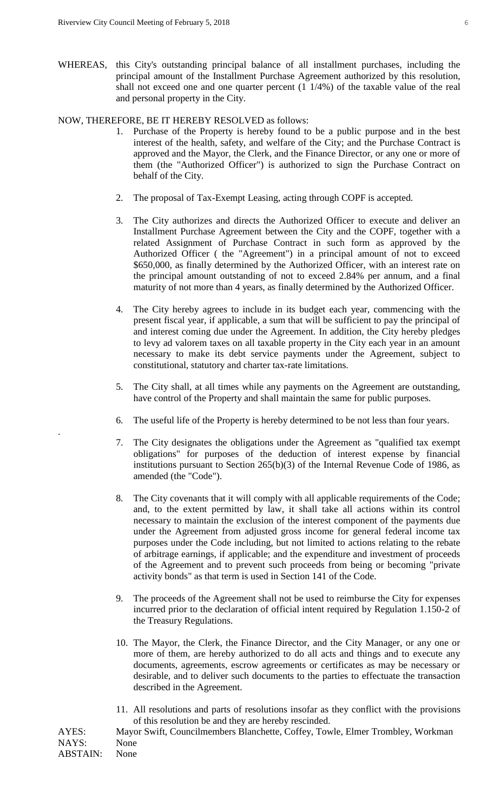.

WHEREAS, this City's outstanding principal balance of all installment purchases, including the principal amount of the Installment Purchase Agreement authorized by this resolution, shall not exceed one and one quarter percent (1 1/4%) of the taxable value of the real and personal property in the City.

## NOW, THEREFORE, BE IT HEREBY RESOLVED as follows:

- 1. Purchase of the Property is hereby found to be a public purpose and in the best interest of the health, safety, and welfare of the City; and the Purchase Contract is approved and the Mayor, the Clerk, and the Finance Director, or any one or more of them (the "Authorized Officer") is authorized to sign the Purchase Contract on behalf of the City.
- 2. The proposal of Tax-Exempt Leasing, acting through COPF is accepted.
- 3. The City authorizes and directs the Authorized Officer to execute and deliver an Installment Purchase Agreement between the City and the COPF, together with a related Assignment of Purchase Contract in such form as approved by the Authorized Officer ( the "Agreement") in a principal amount of not to exceed \$650,000, as finally determined by the Authorized Officer, with an interest rate on the principal amount outstanding of not to exceed 2.84% per annum, and a final maturity of not more than 4 years, as finally determined by the Authorized Officer.
- 4. The City hereby agrees to include in its budget each year, commencing with the present fiscal year, if applicable, a sum that will be sufficient to pay the principal of and interest coming due under the Agreement. In addition, the City hereby pledges to levy ad valorem taxes on all taxable property in the City each year in an amount necessary to make its debt service payments under the Agreement, subject to constitutional, statutory and charter tax-rate limitations.
- 5. The City shall, at all times while any payments on the Agreement are outstanding, have control of the Property and shall maintain the same for public purposes.
- 6. The useful life of the Property is hereby determined to be not less than four years.
- 7. The City designates the obligations under the Agreement as "qualified tax exempt obligations" for purposes of the deduction of interest expense by financial institutions pursuant to Section 265(b)(3) of the Internal Revenue Code of 1986, as amended (the "Code").
- 8. The City covenants that it will comply with all applicable requirements of the Code; and, to the extent permitted by law, it shall take all actions within its control necessary to maintain the exclusion of the interest component of the payments due under the Agreement from adjusted gross income for general federal income tax purposes under the Code including, but not limited to actions relating to the rebate of arbitrage earnings, if applicable; and the expenditure and investment of proceeds of the Agreement and to prevent such proceeds from being or becoming "private activity bonds" as that term is used in Section 141 of the Code.
- 9. The proceeds of the Agreement shall not be used to reimburse the City for expenses incurred prior to the declaration of official intent required by Regulation 1.150-2 of the Treasury Regulations.
- 10. The Mayor, the Clerk, the Finance Director, and the City Manager, or any one or more of them, are hereby authorized to do all acts and things and to execute any documents, agreements, escrow agreements or certificates as may be necessary or desirable, and to deliver such documents to the parties to effectuate the transaction described in the Agreement.
- 11. All resolutions and parts of resolutions insofar as they conflict with the provisions of this resolution be and they are hereby rescinded.

AYES: Mayor Swift, Councilmembers Blanchette, Coffey, Towle, Elmer Trombley, Workman NAYS: None ABSTAIN: None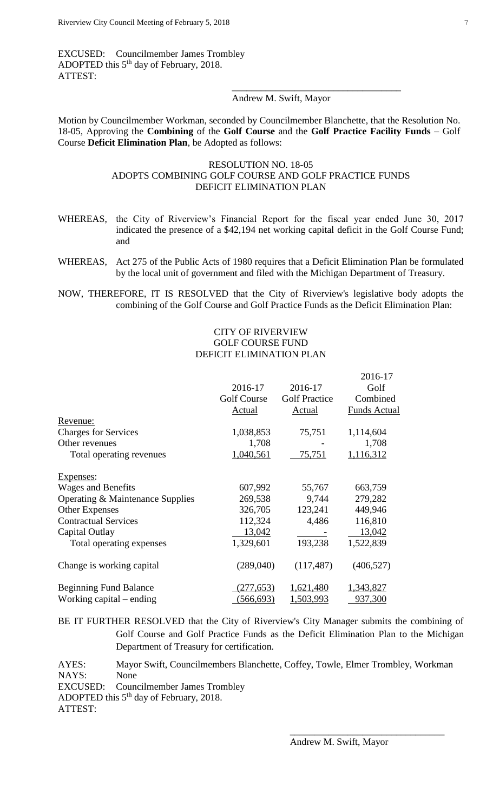EXCUSED: Councilmember James Trombley ADOPTED this 5<sup>th</sup> day of February, 2018. ATTEST: \_\_\_\_\_\_\_\_\_\_\_\_\_\_\_\_\_\_\_\_\_\_\_\_\_\_\_\_\_\_\_\_\_\_\_

### Andrew M. Swift, Mayor

Motion by Councilmember Workman, seconded by Councilmember Blanchette, that the Resolution No. 18-05, Approving the **Combining** of the **Golf Course** and the **Golf Practice Facility Funds** – Golf Course **Deficit Elimination Plan**, be Adopted as follows:

## RESOLUTION NO. 18-05 ADOPTS COMBINING GOLF COURSE AND GOLF PRACTICE FUNDS DEFICIT ELIMINATION PLAN

- WHEREAS, the City of Riverview's Financial Report for the fiscal year ended June 30, 2017 indicated the presence of a \$42,194 net working capital deficit in the Golf Course Fund; and
- WHEREAS, Act 275 of the Public Acts of 1980 requires that a Deficit Elimination Plan be formulated by the local unit of government and filed with the Michigan Department of Treasury.
- NOW, THEREFORE, IT IS RESOLVED that the City of Riverview's legislative body adopts the combining of the Golf Course and Golf Practice Funds as the Deficit Elimination Plan:

## CITY OF RIVERVIEW GOLF COURSE FUND DEFICIT ELIMINATION PLAN

|                                  |             |                      | 2016-17             |
|----------------------------------|-------------|----------------------|---------------------|
|                                  | 2016-17     | 2016-17              | Golf                |
|                                  | Golf Course | <b>Golf Practice</b> | Combined            |
|                                  | Actual      | Actual               | <b>Funds Actual</b> |
| Revenue:                         |             |                      |                     |
| <b>Charges for Services</b>      | 1,038,853   | 75,751               | 1,114,604           |
| Other revenues                   | 1,708       |                      | 1,708               |
| Total operating revenues         | 1,040,561   | 75,751               | 1,116,312           |
| Expenses:                        |             |                      |                     |
| <b>Wages and Benefits</b>        | 607,992     | 55,767               | 663,759             |
| Operating & Maintenance Supplies | 269,538     | 9,744                | 279,282             |
| <b>Other Expenses</b>            | 326,705     | 123,241              | 449,946             |
| <b>Contractual Services</b>      | 112,324     | 4,486                | 116,810             |
| Capital Outlay                   | 13,042      |                      | 13,042              |
| Total operating expenses         | 1,329,601   | 193,238              | 1,522,839           |
| Change is working capital        | (289,040)   | (117, 487)           | (406, 527)          |
| <b>Beginning Fund Balance</b>    | (277, 653)  | 1,621,480            | 1,343,827           |
| Working capital – ending         | (566, 693)  | 1,503,993            | 937,300             |

BE IT FURTHER RESOLVED that the City of Riverview's City Manager submits the combining of Golf Course and Golf Practice Funds as the Deficit Elimination Plan to the Michigan Department of Treasury for certification.

AYES: Mayor Swift, Councilmembers Blanchette, Coffey, Towle, Elmer Trombley, Workman NAYS: None EXCUSED: Councilmember James Trombley ADOPTED this  $5<sup>th</sup>$  day of February, 2018. ATTEST:

\_\_\_\_\_\_\_\_\_\_\_\_\_\_\_\_\_\_\_\_\_\_\_\_\_\_\_\_\_\_\_\_